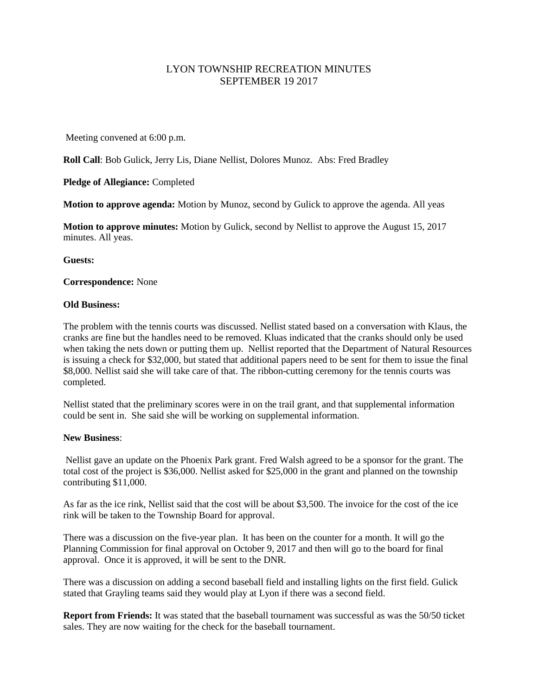## LYON TOWNSHIP RECREATION MINUTES SEPTEMBER 19 2017

Meeting convened at 6:00 p.m.

**Roll Call**: Bob Gulick, Jerry Lis, Diane Nellist, Dolores Munoz. Abs: Fred Bradley

**Pledge of Allegiance:** Completed

**Motion to approve agenda:** Motion by Munoz, second by Gulick to approve the agenda. All yeas

**Motion to approve minutes:** Motion by Gulick, second by Nellist to approve the August 15, 2017 minutes. All yeas.

**Guests:**

**Correspondence:** None

## **Old Business:**

The problem with the tennis courts was discussed. Nellist stated based on a conversation with Klaus, the cranks are fine but the handles need to be removed. Kluas indicated that the cranks should only be used when taking the nets down or putting them up. Nellist reported that the Department of Natural Resources is issuing a check for \$32,000, but stated that additional papers need to be sent for them to issue the final \$8,000. Nellist said she will take care of that. The ribbon-cutting ceremony for the tennis courts was completed.

Nellist stated that the preliminary scores were in on the trail grant, and that supplemental information could be sent in. She said she will be working on supplemental information.

## **New Business**:

Nellist gave an update on the Phoenix Park grant. Fred Walsh agreed to be a sponsor for the grant. The total cost of the project is \$36,000. Nellist asked for \$25,000 in the grant and planned on the township contributing \$11,000.

As far as the ice rink, Nellist said that the cost will be about \$3,500. The invoice for the cost of the ice rink will be taken to the Township Board for approval.

There was a discussion on the five-year plan. It has been on the counter for a month. It will go the Planning Commission for final approval on October 9, 2017 and then will go to the board for final approval. Once it is approved, it will be sent to the DNR.

There was a discussion on adding a second baseball field and installing lights on the first field. Gulick stated that Grayling teams said they would play at Lyon if there was a second field.

**Report from Friends:** It was stated that the baseball tournament was successful as was the 50/50 ticket sales. They are now waiting for the check for the baseball tournament.